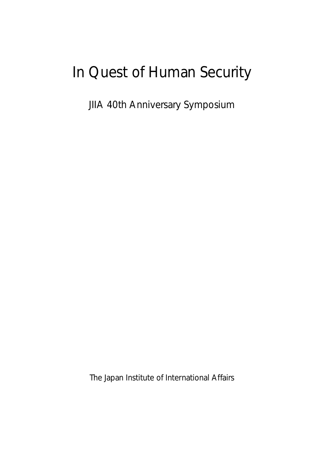## In Quest of Human Security

JIIA 40th Anniversary Symposium

The Japan Institute of International Affairs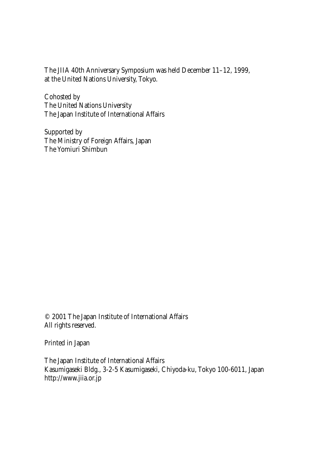The JIIA 40th Anniversary Symposium was held December 11–12, 1999, at the United Nations University, Tokyo.

Cohosted by The United Nations University The Japan Institute of International Affairs

Supported by The Ministry of Foreign Affairs, Japan The Yomiuri Shimbun

© 2001 The Japan Institute of International Affairs All rights reserved.

Printed in Japan

The Japan Institute of International Affairs Kasumigaseki Bldg., 3-2-5 Kasumigaseki, Chiyoda-ku, Tokyo 100-6011, Japan http://www.jiia.or.jp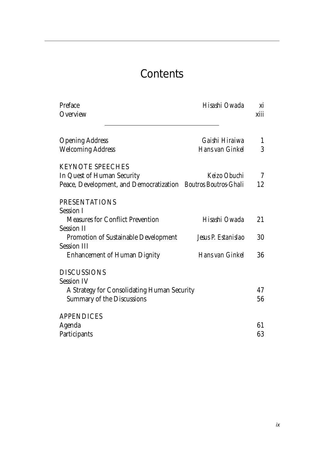## **Contents**

| Preface<br>Overview                                           | Hisashi Owada       | xi<br>xiii |
|---------------------------------------------------------------|---------------------|------------|
| <b>Opening Address</b>                                        | Gaishi Hiraiwa      | 1          |
| <b>Welcoming Address</b>                                      | Hans van Ginkel     | 3          |
| <b>KEYNOTE SPEECHES</b>                                       |                     |            |
| In Quest of Human Security                                    | Keizo Obuchi        | 7          |
| Peace, Development, and Democratization Boutros Boutros-Ghali |                     | 12         |
| <b>PRESENTATIONS</b>                                          |                     |            |
| <b>Session I</b>                                              |                     |            |
| <b>Measures for Conflict Prevention</b>                       | Hisashi Owada       | 21         |
| <b>Session II</b>                                             |                     |            |
| Promotion of Sustainable Development                          | Jesus P. Estanislao | 30         |
| <b>Session III</b>                                            |                     |            |
| <b>Enhancement of Human Dignity</b>                           | Hans van Ginkel     | 36         |
| <b>DISCUSSIONS</b>                                            |                     |            |
| <b>Session IV</b>                                             |                     |            |
| A Strategy for Consolidating Human Security                   |                     | 47         |
| <b>Summary of the Discussions</b>                             |                     | 56         |
| <b>APPENDICES</b>                                             |                     |            |
| Agenda                                                        |                     | 61         |
| Participants                                                  |                     | 63         |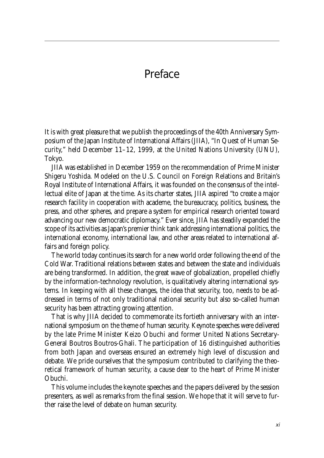## Preface

It is with great pleasure that we publish the proceedings of the 40th Anniversary Symposium of the Japan Institute of International Affairs (JIIA), "In Quest of Human Security," held December 11–12, 1999, at the United Nations University (UNU), Tokyo.

JIIA was established in December 1959 on the recommendation of Prime Minister Shigeru Yoshida. Modeled on the U.S. Council on Foreign Relations and Britain's Royal Institute of International Affairs, it was founded on the consensus of the intellectual elite of Japan at the time. As its charter states, JIIA aspired "to create a major research facility in cooperation with academe, the bureaucracy, politics, business, the press, and other spheres, and prepare a system for empirical research oriented toward advancing our new democratic diplomacy." Ever since, JIIA has steadily expanded the scope of its activities as Japan's premier think tank addressing international politics, the international economy, international law, and other areas related to international affairs and foreign policy.

The world today continues its search for a new world order following the end of the Cold War. Traditional relations between states and between the state and individuals are being transformed. In addition, the great wave of globalization, propelled chiefly by the information-technology revolution, is qualitatively altering international systems. In keeping with all these changes, the idea that security, too, needs to be addressed in terms of not only traditional national security but also so-called human security has been attracting growing attention.

That is why JIIA decided to commemorate its fortieth anniversary with an international symposium on the theme of human security. Keynote speeches were delivered by the late Prime Minister Keizo Obuchi and former United Nations Secretary-General Boutros Boutros-Ghali. The participation of 16 distinguished authorities from both Japan and overseas ensured an extremely high level of discussion and debate. We pride ourselves that the symposium contributed to clarifying the theoretical framework of human security, a cause dear to the heart of Prime Minister Obuchi.

This volume includes the keynote speeches and the papers delivered by the session presenters, as well as remarks from the final session. We hope that it will serve to further raise the level of debate on human security.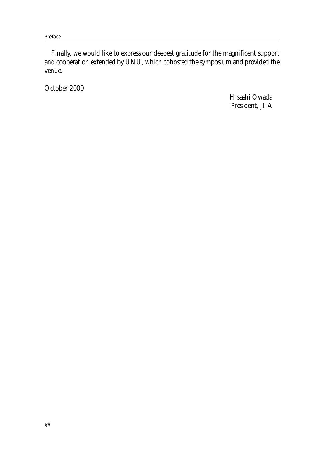Preface

Finally, we would like to express our deepest gratitude for the magnificent support and cooperation extended by UNU, which cohosted the symposium and provided the venue.

October 2000

Hisashi Owada President, JIIA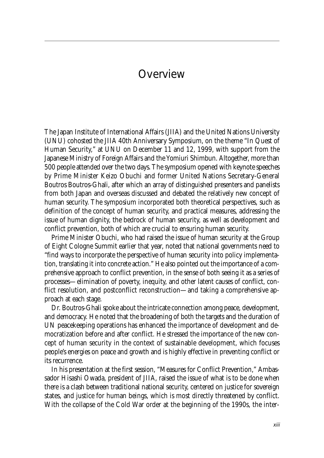## **Overview**

The Japan Institute of International Affairs (JIIA) and the United Nations University (UNU) cohosted the JIIA 40th Anniversary Symposium, on the theme "In Quest of Human Security," at UNU on December 11 and 12, 1999, with support from the Japanese Ministry of Foreign Affairs and the Yomiuri Shimbun. Altogether, more than 500 people attended over the two days. The symposium opened with keynote speeches by Prime Minister Keizo Obuchi and former United Nations Secretary-General Boutros Boutros-Ghali, after which an array of distinguished presenters and panelists from both Japan and overseas discussed and debated the relatively new concept of human security. The symposium incorporated both theoretical perspectives, such as definition of the concept of human security, and practical measures, addressing the issue of human dignity, the bedrock of human security, as well as development and conflict prevention, both of which are crucial to ensuring human security.

Prime Minister Obuchi, who had raised the issue of human security at the Group of Eight Cologne Summit earlier that year, noted that national governments need to "find ways to incorporate the perspective of human security into policy implementation, translating it into concrete action." He also pointed out the importance of a comprehensive approach to conflict prevention, in the sense of both seeing it as a series of processes—elimination of poverty, inequity, and other latent causes of conflict, conflict resolution, and postconflict reconstruction—and taking a comprehensive approach at each stage.

Dr. Boutros-Ghali spoke about the intricate connection among peace, development, and democracy. He noted that the broadening of both the targets and the duration of UN peacekeeping operations has enhanced the importance of development and democratization before and after conflict. He stressed the importance of the new concept of human security in the context of sustainable development, which focuses people's energies on peace and growth and is highly effective in preventing conflict or its recurrence.

In his presentation at the first session, "Measures for Conflict Prevention," Ambassador Hisashi Owada, president of JIIA, raised the issue of what is to be done when there is a clash between traditional national security, centered on justice for sovereign states, and justice for human beings, which is most directly threatened by conflict. With the collapse of the Cold War order at the beginning of the 1990s, the inter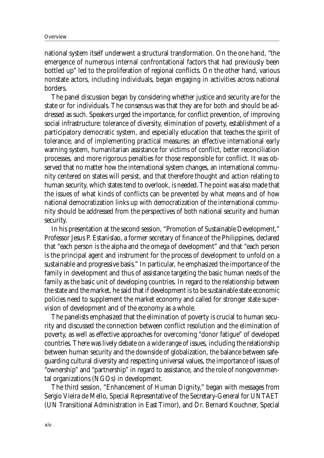national system itself underwent a structural transformation. On the one hand, "the emergence of numerous internal confrontational factors that had previously been bottled up" led to the proliferation of regional conflicts. On the other hand, various nonstate actors, including individuals, began engaging in activities across national borders.

The panel discussion began by considering whether justice and security are for the state or for individuals. The consensus was that they are for both and should be addressed as such. Speakers urged the importance, for conflict prevention, of improving social infrastructure: tolerance of diversity, elimination of poverty, establishment of a participatory democratic system, and especially education that teaches the spirit of tolerance; and of implementing practical measures: an effective international early warning system, humanitarian assistance for victims of conflict, better reconciliation processes, and more rigorous penalties for those responsible for conflict. It was observed that no matter how the international system changes, an international community centered on states will persist, and that therefore thought and action relating to human security, which states tend to overlook, is needed. The point was also made that the issues of what kinds of conflicts can be prevented by what means and of how national democratization links up with democratization of the international community should be addressed from the perspectives of both national security and human security.

In his presentation at the second session, "Promotion of Sustainable Development," Professor Jesus P. Estanislao, a former secretary of finance of the Philippines, declared that "each person is the alpha and the omega of development" and that "each person is the principal agent and instrument for the process of development to unfold on a sustainable and progressive basis." In particular, he emphasized the importance of the family in development and thus of assistance targeting the basic human needs of the family as the basic unit of developing countries. In regard to the relationship between the state and the market, he said that if development is to be sustainable state economic policies need to supplement the market economy and called for stronger state supervision of development and of the economy as a whole.

The panelists emphasized that the elimination of poverty is crucial to human security and discussed the connection between conflict resolution and the elimination of poverty, as well as effective approaches for overcoming "donor fatigue" of developed countries. There was lively debate on a wide range of issues, including the relationship between human security and the downside of globalization, the balance between safeguarding cultural diversity and respecting universal values, the importance of issues of "ownership" and "partnership" in regard to assistance, and the role of nongovernmental organizations (NGOs) in development.

The third session, "Enhancement of Human Dignity," began with messages from Sergio Vieira de Mello, Special Representative of the Secretary-General for UNTAET (UN Transitional Administration in East Timor), and Dr. Bernard Kouchner, Special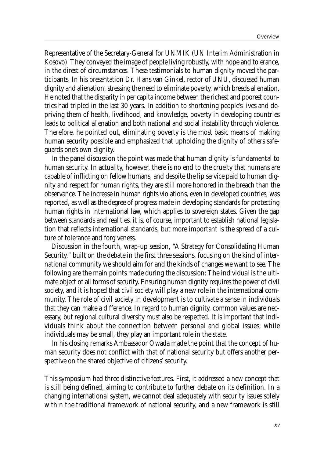Representative of the Secretary-General for UNMIK (UN Interim Administration in Kosovo). They conveyed the image of people living robustly, with hope and tolerance, in the direst of circumstances. These testimonials to human dignity moved the participants. In his presentation Dr. Hans van Ginkel, rector of UNU, discussed human dignity and alienation, stressing the need to eliminate poverty, which breeds alienation. He noted that the disparity in per capita income between the richest and poorest countries had tripled in the last 30 years. In addition to shortening people's lives and depriving them of health, livelihood, and knowledge, poverty in developing countries leads to political alienation and both national and social instability through violence. Therefore, he pointed out, eliminating poverty is the most basic means of making human security possible and emphasized that upholding the dignity of others safeguards one's own dignity.

In the panel discussion the point was made that human dignity is fundamental to human security. In actuality, however, there is no end to the cruelty that humans are capable of inflicting on fellow humans, and despite the lip service paid to human dignity and respect for human rights, they are still more honored in the breach than the observance. The increase in human rights violations, even in developed countries, was reported, as well as the degree of progress made in developing standards for protecting human rights in international law, which applies to sovereign states. Given the gap between standards and realities, it is, of course, important to establish national legislation that reflects international standards, but more important is the spread of a culture of tolerance and forgiveness.

Discussion in the fourth, wrap-up session, "A Strategy for Consolidating Human Security," built on the debate in the first three sessions, focusing on the kind of international community we should aim for and the kinds of changes we want to see. The following are the main points made during the discussion: The individual is the ultimate object of all forms of security. Ensuring human dignity requires the power of civil society, and it is hoped that civil society will play a new role in the international community. The role of civil society in development is to cultivate a sense in individuals that they can make a difference. In regard to human dignity, common values are necessary, but regional cultural diversity must also be respected. It is important that individuals think about the connection between personal and global issues; while individuals may be small, they play an important role in the state.

In his closing remarks Ambassador Owada made the point that the concept of human security does not conflict with that of national security but offers another perspective on the shared objective of citizens' security.

This symposium had three distinctive features. First, it addressed a new concept that is still being defined, aiming to contribute to further debate on its definition. In a changing international system, we cannot deal adequately with security issues solely within the traditional framework of national security, and a new framework is still